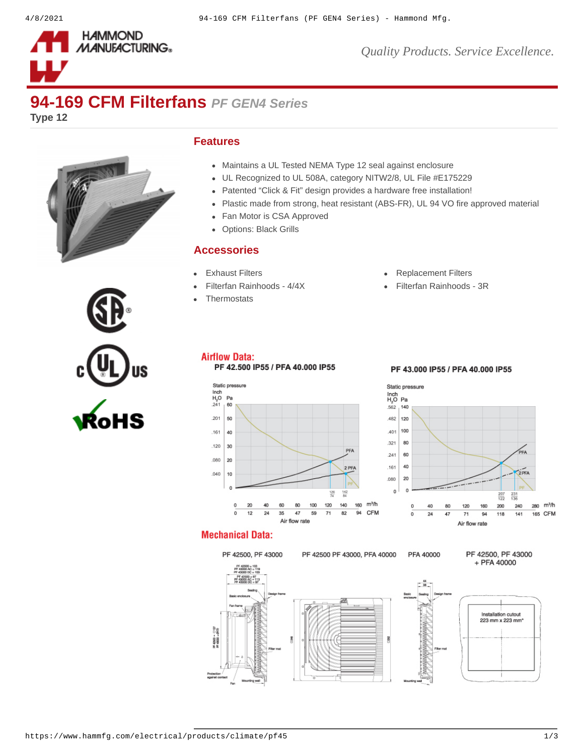

*Quality Products. Service Excellence.*

# **94-169 CFM Filterfans** *PF GEN4 Series*

**Type 12**



#### **Features**

- Maintains a UL Tested NEMA Type 12 seal against enclosure
- UL Recognized to UL 508A, category NITW2/8, UL File #E175229
- Patented "Click & Fit" design provides a hardware free installation!  $\bullet$
- Plastic made from strong, heat resistant (ABS-FR), UL 94 VO fire approved material
- Fan Motor is CSA Approved
- Options: Black Grills  $\bullet$

#### **Accessories**

- 
- 
- **[Thermostats](https://www.hammfg.com/electrical/products/climate/skt?referer=412&itm_type=accessory)**
- [Exhaust Filters](https://www.hammfg.com/electrical/products/climate/pfag4?referer=412&itm_type=accessory) **[Replacement Filters](https://www.hammfg.com/electrical/products/climate/pffg4?referer=412&itm_type=accessory)**
- [Filterfan Rainhoods 4/4X](https://www.hammfg.com/electrical/products/climate/rhn4?referer=412&itm_type=accessory) <br> [Filterfan Rainhoods 3R](https://www.hammfg.com/electrical/products/climate/rh?referer=412&itm_type=accessory)



### **Airflow Data:**

#### PF 42.500 IP55 / PFA 40.000 IP55

#### PF 43,000 IP55 / PFA 40,000 IP55





#### **Mechanical Data:**

Protes

## PF 42500, PF 43000

PF 42500 PF 43000, PFA 40000 PFA 40000

PF 42500, PF 43000 + PFA 40000